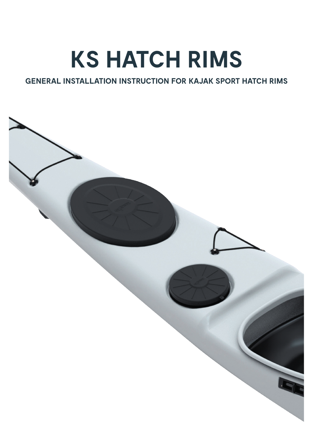# **KS HATCH RIMS**

### **GENERAL INSTALLATION INSTRUCTION FOR KAJAK SPORT HATCH RIMS**

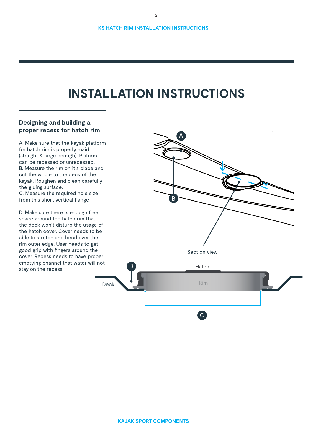## **INSTALLATION INSTRUCTIONS**

#### **Designing and building a proper recess for hatch rim**

A. Make sure that the kayak platform for hatch rim is properly maid (straight & large enough). Plaform can be recessed or unrecessed. B. Measure the rim on it's place and cut the whole to the deck of the kayak. Roughen and clean carefully the gluing surface. C. Measure the required hole size from this short vertical flange

D. Make sure there is enough free space around the hatch rim that the deck won't disturb the usage of the hatch cover. Cover needs to be able to stretch and bend over the rim outer edge. User needs to get good grip with fingers around the cover. Recess needs to have proper emotying channel that water will not stay on the recess.